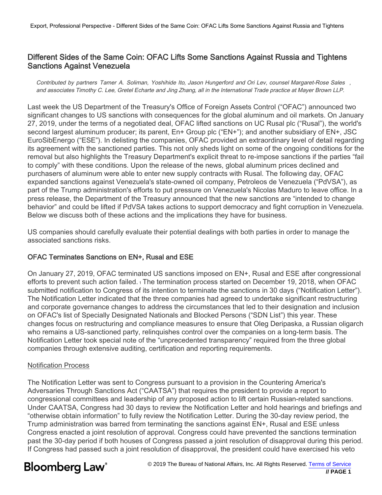## Different Sides of the Same Coin: OFAC Lifts Some Sanctions Against Russia and Tightens Sanctions Against Venezuela

Contributed by partners Tamer A. Soliman, Yoshihide Ito, Jason Hungerford and Ori Lev, counsel Margaret-Rose Sales , and associates Timothy C. Lee, Gretel Echarte and Jing Zhang, all in the International Trade practice at Mayer Brown LLP.

Last week the US Department of the Treasury's Office of Foreign Assets Control ("OFAC") announced two significant changes to US sanctions with consequences for the global aluminum and oil markets. On January 27, 2019, under the terms of a negotiated deal, OFAC lifted sanctions on UC Rusal plc ("Rusal"), the world's second largest aluminum producer; its parent, En+ Group plc ("EN+"); and another subsidiary of EN+, JSC EuroSibEnergo ("ESE"). In delisting the companies, OFAC provided an extraordinary level of detail regarding its agreement with the sanctioned parties. This not only sheds light on some of the ongoing conditions for the removal but also highlights the Treasury Department's explicit threat to re-impose sanctions if the parties "fail to comply" with these conditions. Upon the release of the news, global aluminum prices declined and purchasers of aluminum were able to enter new supply contracts with Rusal. The following day, OFAC expanded sanctions against Venezuela's state-owned oil company, Petroleos de Venezuela ("PdVSA"), as part of the Trump administration's efforts to put pressure on Venezuela's Nicolas Maduro to leave office. In a press release, the Department of the Treasury announced that the new sanctions are "intended to change behavior" and could be lifted if PdVSA takes actions to support democracy and fight corruption in Venezuela. Below we discuss both of these actions and the implications they have for business.

US companies should carefully evaluate their potential dealings with both parties in order to manage the associated sanctions risks.

## OFAC Terminates Sanctions on EN+, Rusal and ESE

On January 27, 2019, OFAC terminated US sanctions imposed on EN+, Rusal and ESE after congressional efforts to prevent such action failed. 1 The termination process started on December 19, 2018, when OFAC submitted notification to Congress of its intention to terminate the sanctions in 30 days ("Notification Letter"). The Notification Letter indicated that the three companies had agreed to undertake significant restructuring and corporate governance changes to address the circumstances that led to their designation and inclusion on OFAC's list of Specially Designated Nationals and Blocked Persons ("SDN List") this year. These changes focus on restructuring and compliance measures to ensure that Oleg Deripaska, a Russian oligarch who remains a US-sanctioned party, relinquishes control over the companies on a long-term basis. The Notification Letter took special note of the "unprecedented transparency" required from the three global companies through extensive auditing, certification and reporting requirements.

#### Notification Process

The Notification Letter was sent to Congress pursuant to a provision in the Countering America's Adversaries Through Sanctions Act ("CAATSA") that requires the president to provide a report to congressional committees and leadership of any proposed action to lift certain Russian-related sanctions. Under CAATSA, Congress had 30 days to review the Notification Letter and hold hearings and briefings and "otherwise obtain information" to fully review the Notification Letter. During the 30-day review period, the Trump administration was barred from terminating the sanctions against EN+, Rusal and ESE unless Congress enacted a joint resolution of approval. Congress could have prevented the sanctions termination past the 30-day period if both houses of Congress passed a joint resolution of disapproval during this period. If Congress had passed such a joint resolution of disapproval, the president could have exercised his veto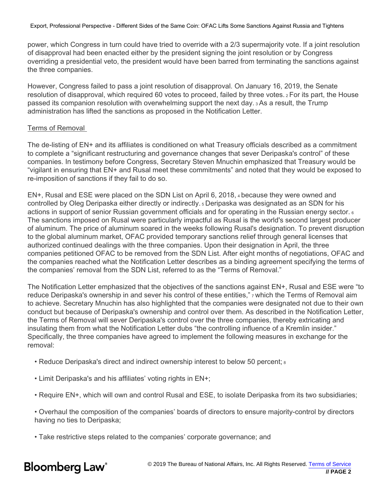power, which Congress in turn could have tried to override with a 2/3 supermajority vote. If a joint resolution of disapproval had been enacted either by the president signing the joint resolution or by Congress overriding a presidential veto, the president would have been barred from terminating the sanctions against the three companies.

However, Congress failed to pass a joint resolution of disapproval. On January 16, 2019, the Senate resolution of disapproval, which required 60 votes to proceed, failed by three votes. <sup>2</sup> For its part, the House passed its companion resolution with overwhelming support the next day. <sup>3</sup> As a result, the Trump administration has lifted the sanctions as proposed in the Notification Letter.

#### Terms of Removal

The de-listing of EN+ and its affiliates is conditioned on what Treasury officials described as a commitment to complete a "significant restructuring and governance changes that sever Deripaska's control" of these companies. In testimony before Congress, Secretary Steven Mnuchin emphasized that Treasury would be "vigilant in ensuring that EN+ and Rusal meet these commitments" and noted that they would be exposed to re-imposition of sanctions if they fail to do so.

EN+, Rusal and ESE were placed on the SDN List on April 6, 2018, <sup>4</sup> because they were owned and controlled by Oleg Deripaska either directly or indirectly. <sup>5</sup> Deripaska was designated as an SDN for his actions in support of senior Russian government officials and for operating in the Russian energy sector. <sup>6</sup> The sanctions imposed on Rusal were particularly impactful as Rusal is the world's second largest producer of aluminum. The price of aluminum soared in the weeks following Rusal's designation. To prevent disruption to the global aluminum market, OFAC provided temporary sanctions relief through general licenses that authorized continued dealings with the three companies. Upon their designation in April, the three companies petitioned OFAC to be removed from the SDN List. After eight months of negotiations, OFAC and the companies reached what the Notification Letter describes as a binding agreement specifying the terms of the companies' removal from the SDN List, referred to as the "Terms of Removal."

The Notification Letter emphasized that the objectives of the sanctions against EN+, Rusal and ESE were "to reduce Deripaska's ownership in and sever his control of these entities," 7 which the Terms of Removal aim to achieve. Secretary Mnuchin has also highlighted that the companies were designated not due to their own conduct but because of Deripaska's ownership and control over them. As described in the Notification Letter, the Terms of Removal will sever Deripaska's control over the three companies, thereby extricating and insulating them from what the Notification Letter dubs "the controlling influence of a Kremlin insider." Specifically, the three companies have agreed to implement the following measures in exchange for the removal:

- Reduce Deripaska's direct and indirect ownership interest to below 50 percent;  $\frac{1}{8}$
- Limit Deripaska's and his affiliates' voting rights in EN+;
- Require EN+, which will own and control Rusal and ESE, to isolate Deripaska from its two subsidiaries;

• Overhaul the composition of the companies' boards of directors to ensure majority-control by directors having no ties to Deripaska;

• Take restrictive steps related to the companies' corporate governance; and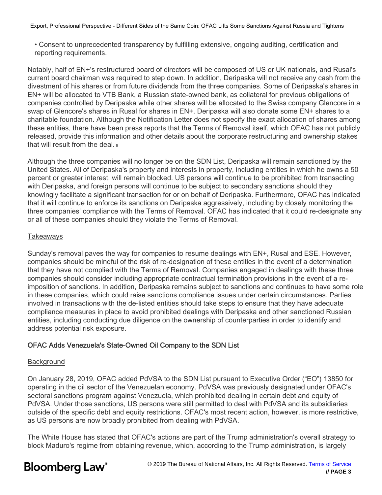• Consent to unprecedented transparency by fulfilling extensive, ongoing auditing, certification and reporting requirements.

Notably, half of EN+'s restructured board of directors will be composed of US or UK nationals, and Rusal's current board chairman was required to step down. In addition, Deripaska will not receive any cash from the divestment of his shares or from future dividends from the three companies. Some of Deripaska's shares in EN+ will be allocated to VTB Bank, a Russian state-owned bank, as collateral for previous obligations of companies controlled by Deripaska while other shares will be allocated to the Swiss company Glencore in a swap of Glencore's shares in Rusal for shares in EN+. Deripaska will also donate some EN+ shares to a charitable foundation. Although the Notification Letter does not specify the exact allocation of shares among these entities, there have been press reports that the Terms of Removal itself, which OFAC has not publicly released, provide this information and other details about the corporate restructuring and ownership stakes that will result from the deal. 9

Although the three companies will no longer be on the SDN List, Deripaska will remain sanctioned by the United States. All of Deripaska's property and interests in property, including entities in which he owns a 50 percent or greater interest, will remain blocked. US persons will continue to be prohibited from transacting with Deripaska, and foreign persons will continue to be subject to secondary sanctions should they knowingly facilitate a significant transaction for or on behalf of Deripaska. Furthermore, OFAC has indicated that it will continue to enforce its sanctions on Deripaska aggressively, including by closely monitoring the three companies' compliance with the Terms of Removal. OFAC has indicated that it could re-designate any or all of these companies should they violate the Terms of Removal.

#### Takeaways

Sunday's removal paves the way for companies to resume dealings with EN+, Rusal and ESE. However, companies should be mindful of the risk of re-designation of these entities in the event of a determination that they have not complied with the Terms of Removal. Companies engaged in dealings with these three companies should consider including appropriate contractual termination provisions in the event of a reimposition of sanctions. In addition, Deripaska remains subject to sanctions and continues to have some role in these companies, which could raise sanctions compliance issues under certain circumstances. Parties involved in transactions with the de-listed entities should take steps to ensure that they have adequate compliance measures in place to avoid prohibited dealings with Deripaska and other sanctioned Russian entities, including conducting due diligence on the ownership of counterparties in order to identify and address potential risk exposure.

## OFAC Adds Venezuela's State-Owned Oil Company to the SDN List

## Background

On January 28, 2019, OFAC added PdVSA to the SDN List pursuant to Executive Order ("EO") 13850 for operating in the oil sector of the Venezuelan economy. PdVSA was previously designated under OFAC's sectoral sanctions program against Venezuela, which prohibited dealing in certain debt and equity of PdVSA. Under those sanctions, US persons were still permitted to deal with PdVSA and its subsidiaries outside of the specific debt and equity restrictions. OFAC's most recent action, however, is more restrictive, as US persons are now broadly prohibited from dealing with PdVSA.

The White House has stated that OFAC's actions are part of the Trump administration's overall strategy to block Maduro's regime from obtaining revenue, which, according to the Trump administration, is largely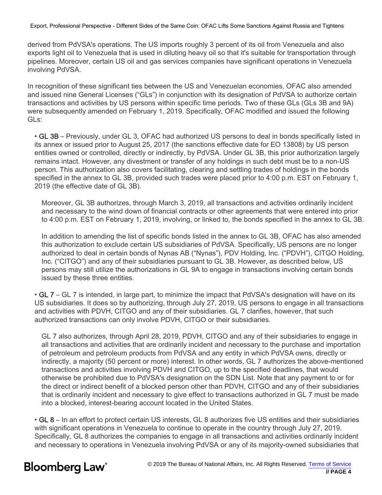derived from PdVSA's operations. The US imports roughly 3 percent of its oil from Venezuela and also exports light oil to Venezuela that is used in diluting heavy oil so that it's suitable for transportation through pipelines. Moreover, certain US oil and gas services companies have significant operations in Venezuela involving PdVSA.

In recognition of these significant ties between the US and Venezuelan economies, OFAC also amended and issued nine General Licenses ("GLs") in conjunction with its designation of PdVSA to authorize certain transactions and activities by US persons within specific time periods. Two of these GLs (GLs 3B and 9A) were subsequently amended on February 1, 2019. Specifically, OFAC modified and issued the following GLs:

• GL 3B – Previously, under GL 3, OFAC had authorized US persons to deal in bonds specifically listed in its annex or issued prior to August 25, 2017 (the sanctions effective date for EO 13808) by US person entities owned or controlled, directly or indirectly, by PdVSA. Under GL 3B, this prior authorization largely remains intact. However, any divestment or transfer of any holdings in such debt must be to a non-US person. This authorization also covers facilitating, clearing and settling trades of holdings in the bonds specified in the annex to GL 3B, provided such trades were placed prior to 4:00 p.m. EST on February 1, 2019 (the effective date of GL 3B).

Moreover, GL 3B authorizes, through March 3, 2019, all transactions and activities ordinarily incident and necessary to the wind down of financial contracts or other agreements that were entered into prior to 4:00 p.m. EST on February 1, 2019, involving, or linked to, the bonds specified in the annex to GL 3B.

In addition to amending the list of specific bonds listed in the annex to GL 3B, OFAC has also amended this authorization to exclude certain US subsidiaries of PdVSA. Specifically, US persons are no longer authorized to deal in certain bonds of Nynas AB ("Nynas"), PDV Holding, Inc. ("PDVH"), CITGO Holding, Inc. ("CITGO") and any of their subsidiaries pursuant to GL 3B. However, as described below, US persons may still utilize the authorizations in GL 9A to engage in transactions involving certain bonds issued by these three entities.

• GL 7 – GL 7 is intended, in large part, to minimize the impact that PdVSA's designation will have on its US subsidiaries. It does so by authorizing, through July 27, 2019, US persons to engage in all transactions and activities with PDVH, CITGO and any of their subsidiaries. GL 7 clarifies, however, that such authorized transactions can only involve PDVH, CITGO or their subsidiaries.

GL 7 also authorizes, through April 28, 2019, PDVH, CITGO and any of their subsidiaries to engage in all transactions and activities that are ordinarily incident and necessary to the purchase and importation of petroleum and petroleum products from PdVSA and any entity in which PdVSA owns, directly or indirectly, a majority (50 percent or more) interest. In other words, GL 7 authorizes the above-mentioned transactions and activities involving PDVH and CITGO, up to the specified deadlines, that would otherwise be prohibited due to PdVSA's designation on the SDN List. Note that any payment to or for the direct or indirect benefit of a blocked person other than PDVH, CITGO and any of their subsidiaries that is ordinarily incident and necessary to give effect to transactions authorized in GL 7 must be made into a blocked, interest-bearing account located in the United States.

• GL 8 – In an effort to protect certain US interests, GL 8 authorizes five US entities and their subsidiaries with significant operations in Venezuela to continue to operate in the country through July 27, 2019. Specifically, GL 8 authorizes the companies to engage in all transactions and activities ordinarily incident and necessary to operations in Venezuela involving PdVSA or any of its majority-owned subsidiaries that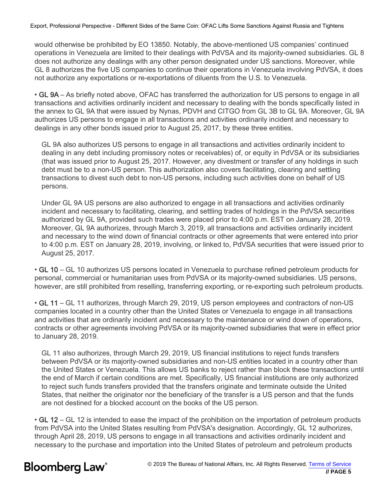would otherwise be prohibited by EO 13850. Notably, the above-mentioned US companies' continued operations in Venezuela are limited to their dealings with PdVSA and its majority-owned subsidiaries. GL 8 does not authorize any dealings with any other person designated under US sanctions. Moreover, while GL 8 authorizes the five US companies to continue their operations in Venezuela involving PdVSA, it does not authorize any exportations or re-exportations of diluents from the U.S. to Venezuela.

• GL 9A – As briefly noted above, OFAC has transferred the authorization for US persons to engage in all transactions and activities ordinarily incident and necessary to dealing with the bonds specifically listed in the annex to GL 9A that were issued by Nynas, PDVH and CITGO from GL 3B to GL 9A. Moreover, GL 9A authorizes US persons to engage in all transactions and activities ordinarily incident and necessary to dealings in any other bonds issued prior to August 25, 2017, by these three entities.

GL 9A also authorizes US persons to engage in all transactions and activities ordinarily incident to dealing in any debt including promissory notes or receivables) of, or equity in PdVSA or its subsidiaries (that was issued prior to August 25, 2017. However, any divestment or transfer of any holdings in such debt must be to a non-US person. This authorization also covers facilitating, clearing and settling transactions to divest such debt to non-US persons, including such activities done on behalf of US persons.

Under GL 9A US persons are also authorized to engage in all transactions and activities ordinarily incident and necessary to facilitating, clearing, and settling trades of holdings in the PdVSA securities authorized by GL 9A, provided such trades were placed prior to 4:00 p.m. EST on January 28, 2019. Moreover, GL 9A authorizes, through March 3, 2019, all transactions and activities ordinarily incident and necessary to the wind down of financial contracts or other agreements that were entered into prior to 4:00 p.m. EST on January 28, 2019, involving, or linked to, PdVSA securities that were issued prior to August 25, 2017.

• GL 10 – GL 10 authorizes US persons located in Venezuela to purchase refined petroleum products for personal, commercial or humanitarian uses from PdVSA or its majority-owned subsidiaries. US persons, however, are still prohibited from reselling, transferring exporting, or re-exporting such petroleum products.

• GL 11 – GL 11 authorizes, through March 29, 2019, US person employees and contractors of non-US companies located in a country other than the United States or Venezuela to engage in all transactions and activities that are ordinarily incident and necessary to the maintenance or wind down of operations, contracts or other agreements involving PdVSA or its majority-owned subsidiaries that were in effect prior to January 28, 2019.

GL 11 also authorizes, through March 29, 2019, US financial institutions to reject funds transfers between PdVSA or its majority-owned subsidiaries and non-US entities located in a country other than the United States or Venezuela. This allows US banks to reject rather than block these transactions until the end of March if certain conditions are met. Specifically, US financial institutions are only authorized to reject such funds transfers provided that the transfers originate and terminate outside the United States, that neither the originator nor the beneficiary of the transfer is a US person and that the funds are not destined for a blocked account on the books of the US person.

• GL 12 – GL 12 is intended to ease the impact of the prohibition on the importation of petroleum products from PdVSA into the United States resulting from PdVSA's designation. Accordingly, GL 12 authorizes, through April 28, 2019, US persons to engage in all transactions and activities ordinarily incident and necessary to the purchase and importation into the United States of petroleum and petroleum products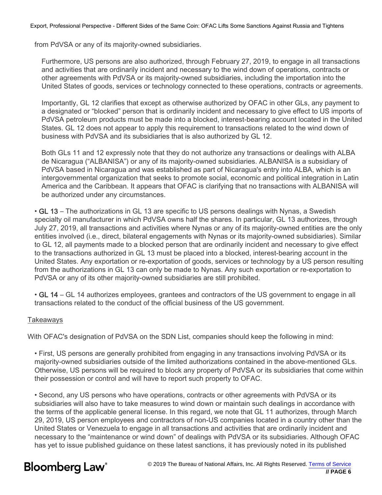from PdVSA or any of its majority-owned subsidiaries.

Furthermore, US persons are also authorized, through February 27, 2019, to engage in all transactions and activities that are ordinarily incident and necessary to the wind down of operations, contracts or other agreements with PdVSA or its majority-owned subsidiaries, including the importation into the United States of goods, services or technology connected to these operations, contracts or agreements.

Importantly, GL 12 clarifies that except as otherwise authorized by OFAC in other GLs, any payment to a designated or "blocked" person that is ordinarily incident and necessary to give effect to US imports of PdVSA petroleum products must be made into a blocked, interest-bearing account located in the United States. GL 12 does not appear to apply this requirement to transactions related to the wind down of business with PdVSA and its subsidiaries that is also authorized by GL 12.

Both GLs 11 and 12 expressly note that they do not authorize any transactions or dealings with ALBA de Nicaragua ("ALBANISA") or any of its majority-owned subsidiaries. ALBANISA is a subsidiary of PdVSA based in Nicaragua and was established as part of Nicaragua's entry into ALBA, which is an intergovernmental organization that seeks to promote social, economic and political integration in Latin America and the Caribbean. It appears that OFAC is clarifying that no transactions with ALBANISA will be authorized under any circumstances.

• GL 13 – The authorizations in GL 13 are specific to US persons dealings with Nynas, a Swedish specialty oil manufacturer in which PdVSA owns half the shares. In particular, GL 13 authorizes, through July 27, 2019, all transactions and activities where Nynas or any of its majority-owned entities are the only entities involved (i.e., direct, bilateral engagements with Nynas or its majority-owned subsidiaries). Similar to GL 12, all payments made to a blocked person that are ordinarily incident and necessary to give effect to the transactions authorized in GL 13 must be placed into a blocked, interest-bearing account in the United States. Any exportation or re-exportation of goods, services or technology by a US person resulting from the authorizations in GL 13 can only be made to Nynas. Any such exportation or re-exportation to PdVSA or any of its other majority-owned subsidiaries are still prohibited.

• GL 14 – GL 14 authorizes employees, grantees and contractors of the US government to engage in all transactions related to the conduct of the official business of the US government.

#### Takeaways

With OFAC's designation of PdVSA on the SDN List, companies should keep the following in mind:

• First, US persons are generally prohibited from engaging in any transactions involving PdVSA or its majority-owned subsidiaries outside of the limited authorizations contained in the above-mentioned GLs. Otherwise, US persons will be required to block any property of PdVSA or its subsidiaries that come within their possession or control and will have to report such property to OFAC.

• Second, any US persons who have operations, contracts or other agreements with PdVSA or its subsidiaries will also have to take measures to wind down or maintain such dealings in accordance with the terms of the applicable general license. In this regard, we note that GL 11 authorizes, through March 29, 2019, US person employees and contractors of non-US companies located in a country other than the United States or Venezuela to engage in all transactions and activities that are ordinarily incident and necessary to the "maintenance or wind down" of dealings with PdVSA or its subsidiaries. Although OFAC has yet to issue published guidance on these latest sanctions, it has previously noted in its published